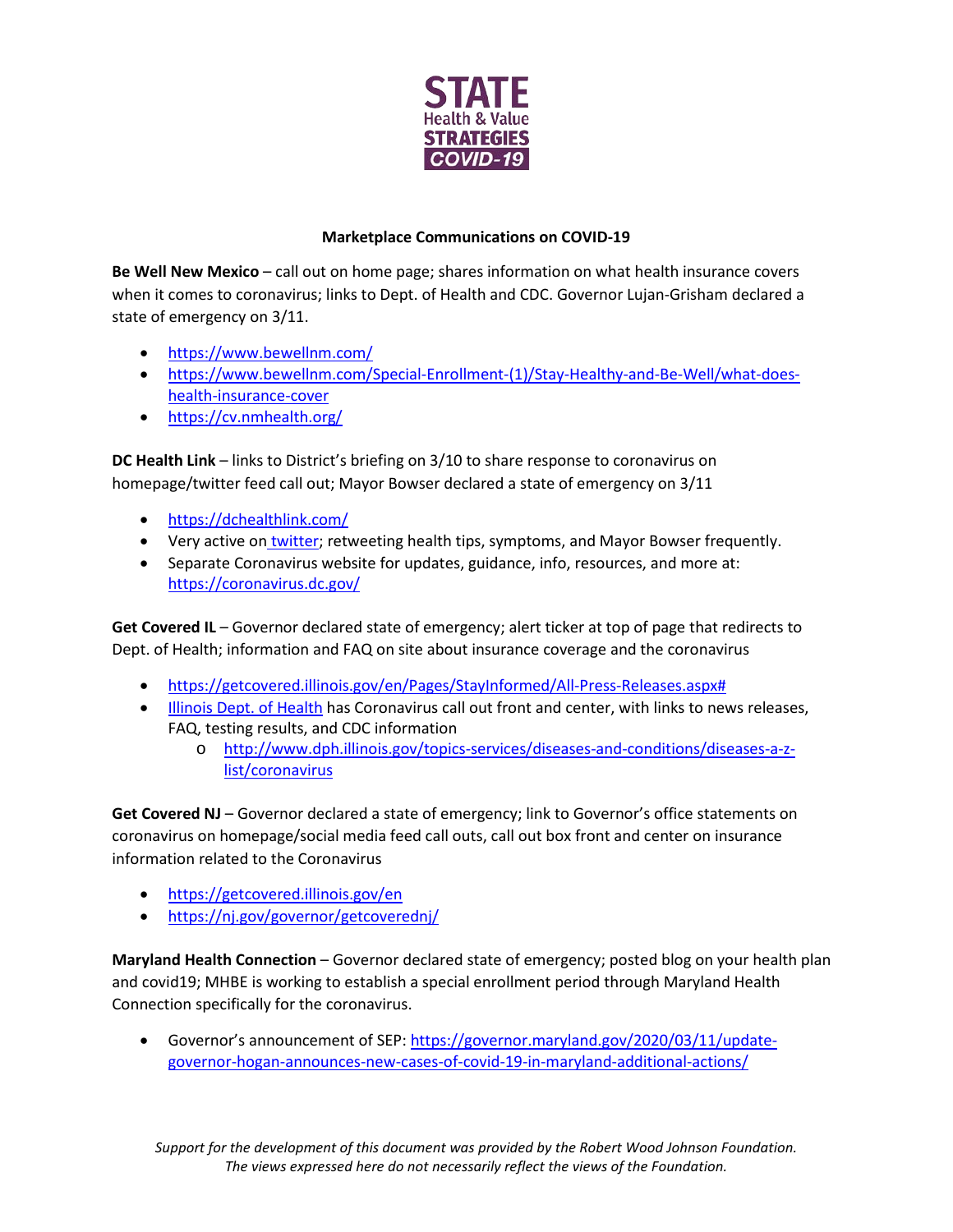

## **Marketplace Communications on COVID-19**

**Be Well New Mexico** – call out on home page; shares information on what health insurance covers when it comes to coronavirus; links to Dept. of Health and CDC. Governor Lujan-Grisham declared a state of emergency on 3/11.

- <https://www.bewellnm.com/>
- [https://www.bewellnm.com/Special-Enrollment-\(1\)/Stay-Healthy-and-Be-Well/what-does](https://www.bewellnm.com/Special-Enrollment-(1)/Stay-Healthy-and-Be-Well/what-does-health-insurance-cover)[health-insurance-cover](https://www.bewellnm.com/Special-Enrollment-(1)/Stay-Healthy-and-Be-Well/what-does-health-insurance-cover)
- <https://cv.nmhealth.org/>

**DC Health Link** – links to District's briefing on 3/10 to share response to coronavirus on homepage/twitter feed call out; Mayor Bowser declared a state of emergency on 3/11

- <https://dchealthlink.com/>
- Very active on [twitter;](https://twitter.com/DCHealthLink) retweeting health tips, symptoms, and Mayor Bowser frequently.
- Separate Coronavirus website for updates, guidance, info, resources, and more at: <https://coronavirus.dc.gov/>

**Get Covered IL** – Governor declared state of emergency; alert ticker at top of page that redirects to Dept. of Health; information and FAQ on site about insurance coverage and the coronavirus

- [https://getcovered.illinois.gov/en/Pages/StayInformed/All-Press-Releases.aspx#](https://getcovered.illinois.gov/en/Pages/StayInformed/All-Press-Releases.aspx)
- [Illinois Dept. of Health](http://www.dph.illinois.gov/) has Coronavirus call out front and center, with links to news releases, FAQ, testing results, and CDC information
	- o [http://www.dph.illinois.gov/topics-services/diseases-and-conditions/diseases-a-z](http://www.dph.illinois.gov/topics-services/diseases-and-conditions/diseases-a-z-list/coronavirus)[list/coronavirus](http://www.dph.illinois.gov/topics-services/diseases-and-conditions/diseases-a-z-list/coronavirus)

**Get Covered NJ** – Governor declared a state of emergency; link to Governor's office statements on coronavirus on homepage/social media feed call outs, call out box front and center on insurance information related to the Coronavirus

- <https://getcovered.illinois.gov/en>
- <https://nj.gov/governor/getcoverednj/>

**Maryland Health Connection** – Governor declared state of emergency; posted blog on your health plan and covid19; MHBE is working to establish a special enrollment period through Maryland Health Connection specifically for the coronavirus.

Governor's announcement of SEP[: https://governor.maryland.gov/2020/03/11/update](https://governor.maryland.gov/2020/03/11/update-governor-hogan-announces-new-cases-of-covid-19-in-maryland-additional-actions/)[governor-hogan-announces-new-cases-of-covid-19-in-maryland-additional-actions/](https://governor.maryland.gov/2020/03/11/update-governor-hogan-announces-new-cases-of-covid-19-in-maryland-additional-actions/)

*Support for the development of this document was provided by the Robert Wood Johnson Foundation. The views expressed here do not necessarily reflect the views of the Foundation.*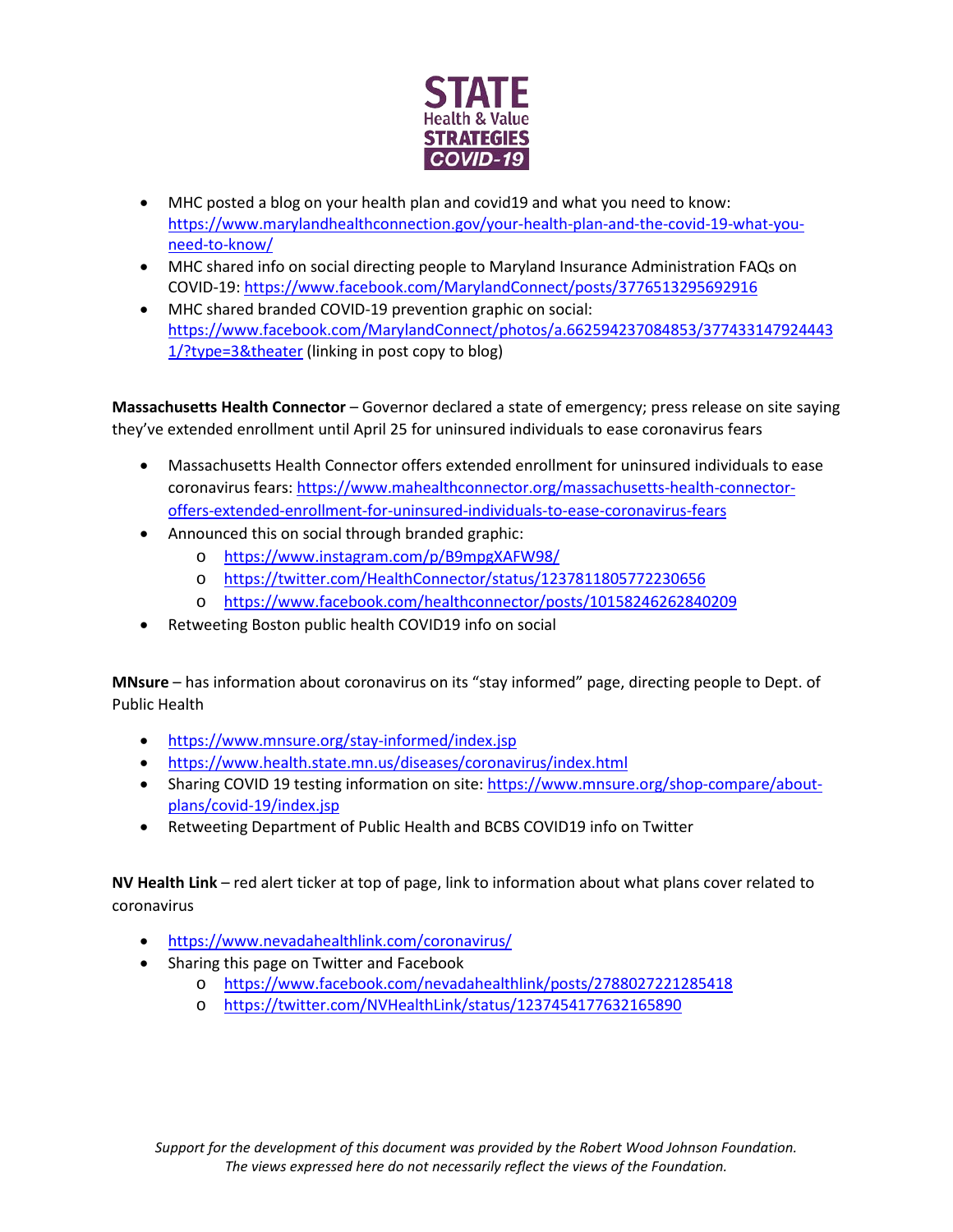

- MHC posted a blog on your health plan and covid19 and what you need to know: [https://www.marylandhealthconnection.gov/your-health-plan-and-the-covid-19-what-you](https://www.marylandhealthconnection.gov/your-health-plan-and-the-covid-19-what-you-need-to-know/)[need-to-know/](https://www.marylandhealthconnection.gov/your-health-plan-and-the-covid-19-what-you-need-to-know/)
- MHC shared info on social directing people to Maryland Insurance Administration FAQs on COVID-19:<https://www.facebook.com/MarylandConnect/posts/3776513295692916>
- MHC shared branded COVID-19 prevention graphic on social: [https://www.facebook.com/MarylandConnect/photos/a.662594237084853/377433147924443](https://www.facebook.com/MarylandConnect/photos/a.662594237084853/3774331479244431/?type=3&theater) [1/?type=3&theater](https://www.facebook.com/MarylandConnect/photos/a.662594237084853/3774331479244431/?type=3&theater) (linking in post copy to blog)

**Massachusetts Health Connector** – Governor declared a state of emergency; press release on site saying they've extended enrollment until April 25 for uninsured individuals to ease coronavirus fears

- Massachusetts Health Connector offers extended enrollment for uninsured individuals to ease coronavirus fears[: https://www.mahealthconnector.org/massachusetts-health-connector](https://www.mahealthconnector.org/massachusetts-health-connector-offers-extended-enrollment-for-uninsured-individuals-to-ease-coronavirus-fears)[offers-extended-enrollment-for-uninsured-individuals-to-ease-coronavirus-fears](https://www.mahealthconnector.org/massachusetts-health-connector-offers-extended-enrollment-for-uninsured-individuals-to-ease-coronavirus-fears)
- Announced this on social through branded graphic:
	- o <https://www.instagram.com/p/B9mpgXAFW98/>
	- o <https://twitter.com/HealthConnector/status/1237811805772230656>
	- o <https://www.facebook.com/healthconnector/posts/10158246262840209>
- Retweeting Boston public health COVID19 info on social

**MNsure** – has information about coronavirus on its "stay informed" page, directing people to Dept. of Public Health

- <https://www.mnsure.org/stay-informed/index.jsp>
- <https://www.health.state.mn.us/diseases/coronavirus/index.html>
- Sharing COVID 19 testing information on site: [https://www.mnsure.org/shop-compare/about](https://www.mnsure.org/shop-compare/about-plans/covid-19/index.jsp)[plans/covid-19/index.jsp](https://www.mnsure.org/shop-compare/about-plans/covid-19/index.jsp)
- Retweeting Department of Public Health and BCBS COVID19 info on Twitter

**NV Health Link** – red alert ticker at top of page, link to information about what plans cover related to coronavirus

- <https://www.nevadahealthlink.com/coronavirus/>
- Sharing this page on Twitter and Facebook
	- o <https://www.facebook.com/nevadahealthlink/posts/2788027221285418>
	- o <https://twitter.com/NVHealthLink/status/1237454177632165890>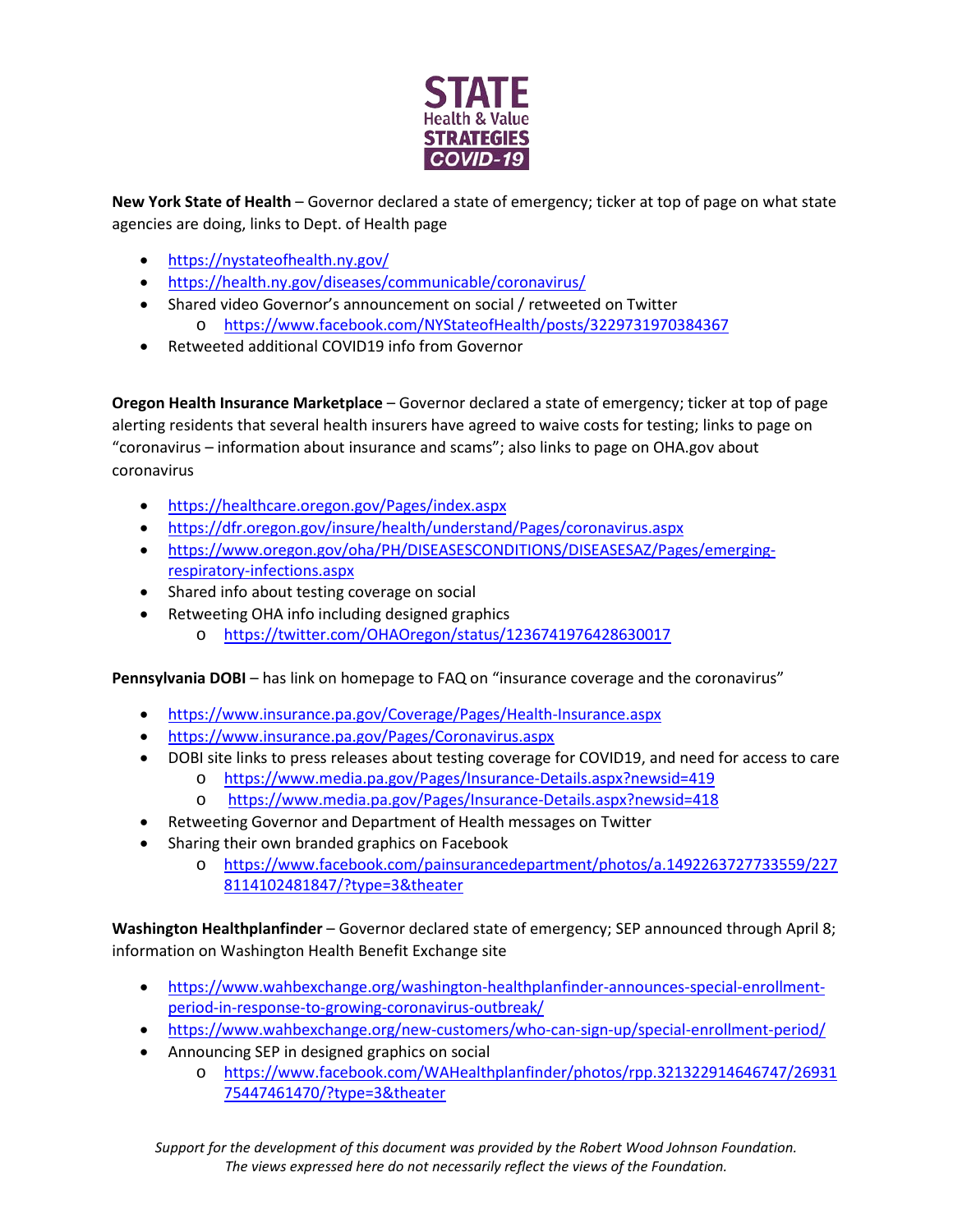

**New York State of Health** – Governor declared a state of emergency; ticker at top of page on what state agencies are doing, links to Dept. of Health page

- <https://nystateofhealth.ny.gov/>
- <https://health.ny.gov/diseases/communicable/coronavirus/>
- Shared video Governor's announcement on social / retweeted on Twitter o <https://www.facebook.com/NYStateofHealth/posts/3229731970384367>
- Retweeted additional COVID19 info from Governor

**Oregon Health Insurance Marketplace** – Governor declared a state of emergency; ticker at top of page alerting residents that several health insurers have agreed to waive costs for testing; links to page on "coronavirus – information about insurance and scams"; also links to page on OHA.gov about coronavirus

- <https://healthcare.oregon.gov/Pages/index.aspx>
- <https://dfr.oregon.gov/insure/health/understand/Pages/coronavirus.aspx>
- [https://www.oregon.gov/oha/PH/DISEASESCONDITIONS/DISEASESAZ/Pages/emerging](https://www.oregon.gov/oha/PH/DISEASESCONDITIONS/DISEASESAZ/Pages/emerging-respiratory-infections.aspx)[respiratory-infections.aspx](https://www.oregon.gov/oha/PH/DISEASESCONDITIONS/DISEASESAZ/Pages/emerging-respiratory-infections.aspx)
- Shared info about testing coverage on social
- Retweeting OHA info including designed graphics
	- o <https://twitter.com/OHAOregon/status/1236741976428630017>

**Pennsylvania DOBI** – has link on homepage to FAQ on "insurance coverage and the coronavirus"

- <https://www.insurance.pa.gov/Coverage/Pages/Health-Insurance.aspx>
- <https://www.insurance.pa.gov/Pages/Coronavirus.aspx>
- DOBI site links to press releases about testing coverage for COVID19, and need for access to care
	- o <https://www.media.pa.gov/Pages/Insurance-Details.aspx?newsid=419>
	- o <https://www.media.pa.gov/Pages/Insurance-Details.aspx?newsid=418>
- Retweeting Governor and Department of Health messages on Twitter
- Sharing their own branded graphics on Facebook
	- o [https://www.facebook.com/painsurancedepartment/photos/a.1492263727733559/227](https://www.facebook.com/painsurancedepartment/photos/a.1492263727733559/2278114102481847/?type=3&theater) [8114102481847/?type=3&theater](https://www.facebook.com/painsurancedepartment/photos/a.1492263727733559/2278114102481847/?type=3&theater)

**Washington Healthplanfinder** – Governor declared state of emergency; SEP announced through April 8; information on Washington Health Benefit Exchange site

- [https://www.wahbexchange.org/washington-healthplanfinder-announces-special-enrollment](https://www.wahbexchange.org/washington-healthplanfinder-announces-special-enrollment-period-in-response-to-growing-coronavirus-outbreak/)[period-in-response-to-growing-coronavirus-outbreak/](https://www.wahbexchange.org/washington-healthplanfinder-announces-special-enrollment-period-in-response-to-growing-coronavirus-outbreak/)
- <https://www.wahbexchange.org/new-customers/who-can-sign-up/special-enrollment-period/>
- Announcing SEP in designed graphics on social
	- o [https://www.facebook.com/WAHealthplanfinder/photos/rpp.321322914646747/26931](https://www.facebook.com/WAHealthplanfinder/photos/rpp.321322914646747/2693175447461470/?type=3&theater) [75447461470/?type=3&theater](https://www.facebook.com/WAHealthplanfinder/photos/rpp.321322914646747/2693175447461470/?type=3&theater)

*Support for the development of this document was provided by the Robert Wood Johnson Foundation. The views expressed here do not necessarily reflect the views of the Foundation.*